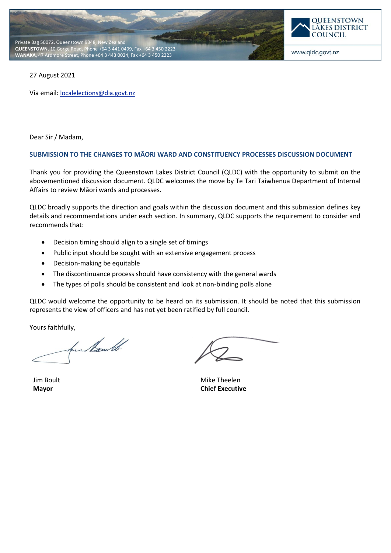



27 August 2021

Via email: **[localelections@dia.govt.nz](mailto:localelections@dia.govt.nz)** 

Dear Sir / Madam,

#### **SUBMISSION TO THE CHANGES TO MĀORI WARD AND CONSTITUENCY PROCESSES DISCUSSION DOCUMENT**

Thank you for providing the Queenstown Lakes District Council (QLDC) with the opportunity to submit on the abovementioned discussion document. QLDC welcomes the move by Te Tari Taiwhenua Department of Internal Affairs to review Māori wards and processes.

QLDC broadly supports the direction and goals within the discussion document and this submission defines key details and recommendations under each section. In summary, QLDC supports the requirement to consider and recommends that:

- Decision timing should align to a single set of timings
- Public input should be sought with an extensive engagement process
- Decision-making be equitable
- The discontinuance process should have consistency with the general wards
- The types of polls should be consistent and look at non-binding polls alone

QLDC would welcome the opportunity to be heard on its submission. It should be noted that this submission represents the view of officers and has not yet been ratified by full council.

Yours faithfully,

for hout

Jim Boult **Mayor**

Mike Theelen **Chief Executive**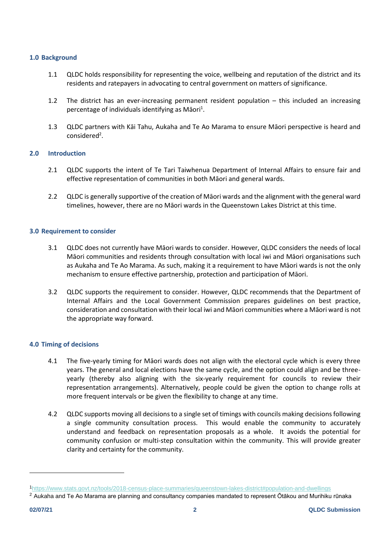## **1.0 Background**

- 1.1 QLDC holds responsibility for representing the voice, wellbeing and reputation of the district and its residents and ratepayers in advocating to central government on matters of significance.
- 1.2 The district has an ever-increasing permanent resident population this included an increasing percentage of individuals identifying as Māori<sup>1</sup>.
- 1.3 QLDC partners with Kāi Tahu, Aukaha and Te Ao Marama to ensure Māori perspective is heard and considered<sup>2</sup>.

# **2.0 Introduction**

- 2.1 QLDC supports the intent of Te Tari Taiwhenua Department of Internal Affairs to ensure fair and effective representation of communities in both Māori and general wards.
- 2.2 QLDC is generally supportive of the creation of Māori wards and the alignment with the general ward timelines, however, there are no Māori wards in the Queenstown Lakes District at this time.

# **3.0 Requirement to consider**

- 3.1 QLDC does not currently have Māori wards to consider. However, QLDC considers the needs of local Māori communities and residents through consultation with local iwi and Māori organisations such as Aukaha and Te Ao Marama. As such, making it a requirement to have Māori wards is not the only mechanism to ensure effective partnership, protection and participation of Māori.
- 3.2 QLDC supports the requirement to consider. However, QLDC recommends that the Department of Internal Affairs and the Local Government Commission prepares guidelines on best practice, consideration and consultation with their local iwi and Māori communities where a Māori ward is not the appropriate way forward.

# **4.0 Timing of decisions**

- 4.1 The five-yearly timing for Māori wards does not align with the electoral cycle which is every three years. The general and local elections have the same cycle, and the option could align and be threeyearly (thereby also aligning with the six-yearly requirement for councils to review their representation arrangements). Alternatively, people could be given the option to change rolls at more frequent intervals or be given the flexibility to change at any time.
- 4.2 QLDC supports moving all decisions to a single set of timings with councils making decisions following a single community consultation process. This would enable the community to accurately understand and feedback on representation proposals as a whole. It avoids the potential for community confusion or multi-step consultation within the community. This will provide greater clarity and certainty for the community.

<sup>1</sup><https://www.stats.govt.nz/tools/2018-census-place-summaries/queenstown-lakes-district#population-and-dwellings>

<sup>2</sup> Aukaha and Te Ao Marama are planning and consultancy companies mandated to represent Ōtākou and Murihiku rūnaka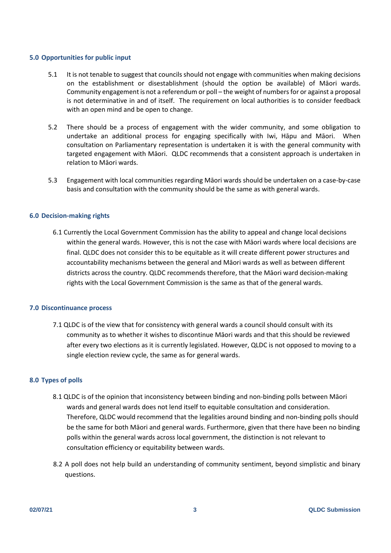### **5.0 Opportunities for public input**

- 5.1 It is not tenable to suggest that councils should not engage with communities when making decisions on the establishment or disestablishment (should the option be available) of Māori wards. Community engagement is not a referendum or poll – the weight of numbers for or against a proposal is not determinative in and of itself. The requirement on local authorities is to consider feedback with an open mind and be open to change.
- 5.2 There should be a process of engagement with the wider community, and some obligation to undertake an additional process for engaging specifically with Iwi, Hāpu and Māori. When consultation on Parliamentary representation is undertaken it is with the general community with targeted engagement with Māori. QLDC recommends that a consistent approach is undertaken in relation to Māori wards.
- 5.3 Engagement with local communities regarding Māori wards should be undertaken on a case-by-case basis and consultation with the community should be the same as with general wards.

#### **6.0 Decision-making rights**

6.1 Currently the Local Government Commission has the ability to appeal and change local decisions within the general wards. However, this is not the case with Māori wards where local decisions are final. QLDC does not consider this to be equitable as it will create different power structures and accountability mechanisms between the general and Māori wards as well as between different districts across the country. QLDC recommends therefore, that the Māori ward decision-making rights with the Local Government Commission is the same as that of the general wards.

#### **7.0 Discontinuance process**

7.1 QLDC is of the view that for consistency with general wards a council should consult with its community as to whether it wishes to discontinue Māori wards and that this should be reviewed after every two elections as it is currently legislated. However, QLDC is not opposed to moving to a single election review cycle, the same as for general wards.

### **8.0 Types of polls**

- 8.1 QLDC is of the opinion that inconsistency between binding and non-binding polls between Māori wards and general wards does not lend itself to equitable consultation and consideration. Therefore, QLDC would recommend that the legalities around binding and non-binding polls should be the same for both Māori and general wards. Furthermore, given that there have been no binding polls within the general wards across local government, the distinction is not relevant to consultation efficiency or equitability between wards.
- 8.2 A poll does not help build an understanding of community sentiment, beyond simplistic and binary questions.